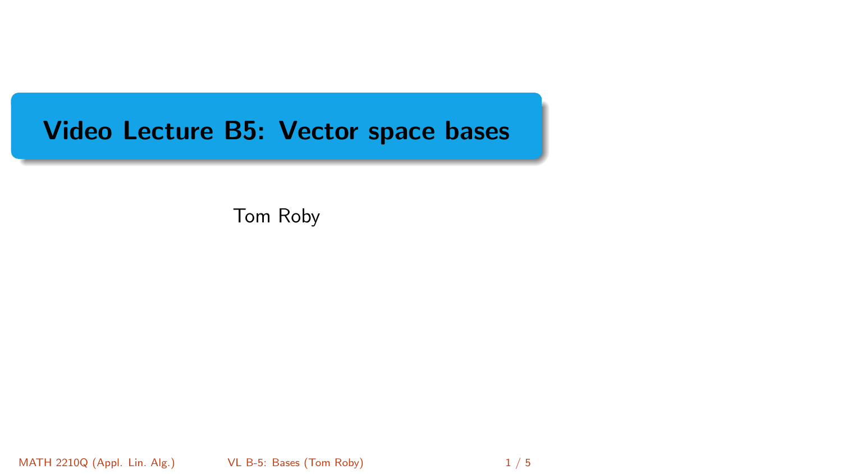# <span id="page-0-0"></span>Video Lecture B5: Vector space bases

Tom Roby

MATH 2210Q (Appl. Lin. Alg.) [VL B-5: Bases](#page-4-0) (Tom Roby) 1 / 5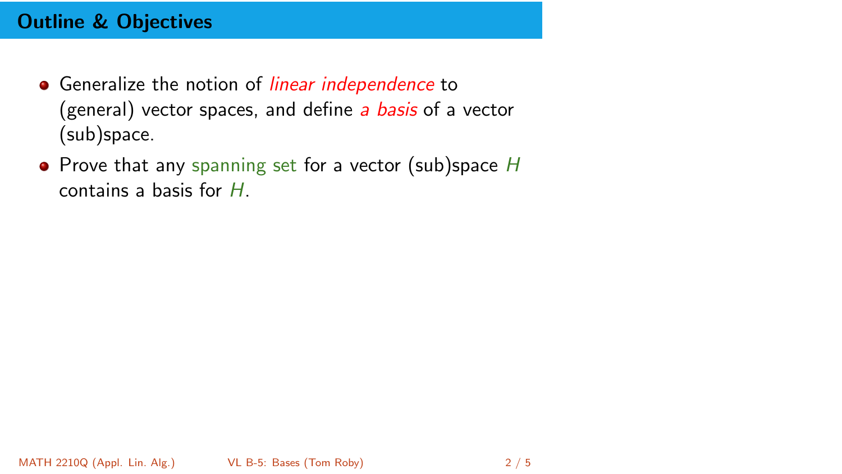## Outline & Objectives

- Generalize the notion of *linear independence* to (general) vector spaces, and define a basis of a vector (sub)space.
- $\bullet$  Prove that any spanning set for a vector (sub)space H contains a basis for H.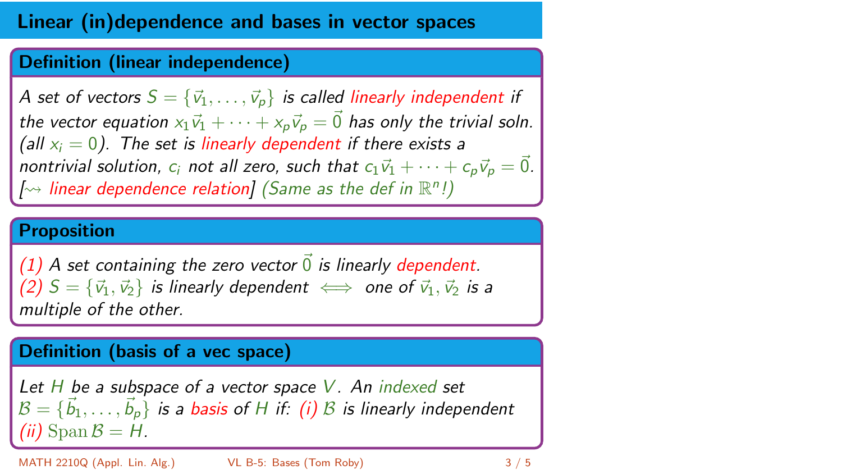## Linear (in)dependence and bases in vector spaces

### Definition (linear independence)

A set of vectors  $S = \{\vec{v}_1, \ldots, \vec{v}_p\}$  is called linearly independent if the vector equation  $x_1\vec{v}_1 + \cdots + x_p\vec{v}_p = \vec{0}$  has only the trivial soln. (all  $x_i = 0$ ). The set is linearly dependent if there exists a nontrivial solution,  $c_i$  not all zero, such that  $c_1\vec{v}_1 + \cdots + c_p\vec{v}_p = \vec{0}$ .  $\left[\rightarrowtail\right]$  linear dependence relation] (Same as the def in  $\mathbb{R}^n$ !)

#### Proposition

(1) A set containing the zero vector  $\vec{0}$  is linearly dependent. (2)  $S = {\vec{v}_1, \vec{v}_2}$  is linearly dependent  $\iff$  one of  $\vec{v}_1, \vec{v}_2$  is a multiple of the other.

#### Definition (basis of a vec space)

Let  $H$  be a subspace of a vector space  $V$ . An indexed set  $\mathcal{B} = \{\vec{b}_1, \ldots, \vec{b}_\rho\}$  is a basis of H if: (i)  $\mathcal{B}$  is linearly independent (*ii*) Span  $\mathcal{B} = H$ .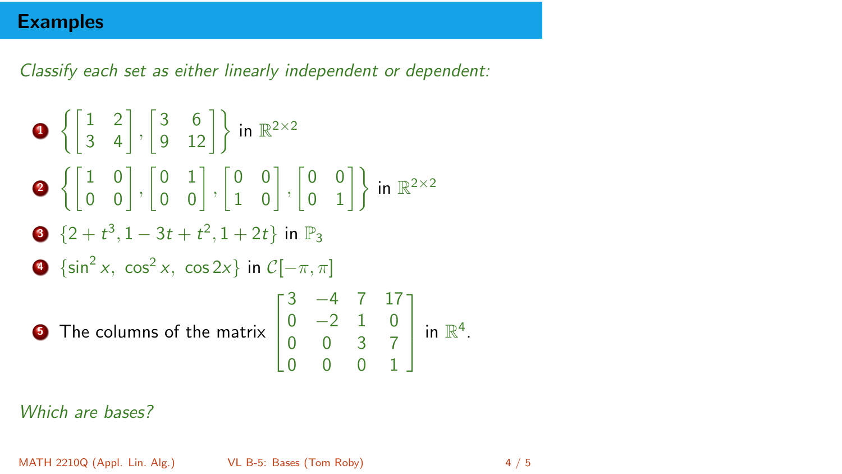### **Examples**

Classify each set as either linearly independent or dependent:

\n- ① 
$$
\left\{ \begin{bmatrix} 1 & 2 \\ 3 & 4 \end{bmatrix}, \begin{bmatrix} 3 & 6 \\ 9 & 12 \end{bmatrix} \right\}
$$
 in  $\mathbb{R}^{2 \times 2}$
\n- ②  $\left\{ \begin{bmatrix} 1 & 0 \\ 0 & 0 \end{bmatrix}, \begin{bmatrix} 0 & 1 \\ 0 & 0 \end{bmatrix}, \begin{bmatrix} 0 & 0 \\ 1 & 0 \end{bmatrix}, \begin{bmatrix} 0 & 0 \\ 0 & 1 \end{bmatrix} \right\}$  in  $\mathbb{R}^{2 \times 2}$
\n- ②  $\{2 + t^3, 1 - 3t + t^2, 1 + 2t\}$  in  $\mathbb{P}_3$
\n- ③  $\{\sin^2 x, \cos^2 x, \cos 2x\}$  in  $\mathcal{C}[-\pi, \pi]$
\n- ③ The columns of the matrix  $\begin{bmatrix} 3 & -4 & 7 & 17 \\ 0 & -2 & 1 & 0 \\ 0 & 0 & 3 & 7 \\ 0 & 0 & 0 & 1 \end{bmatrix}$  in  $\mathbb{R}^4$ .
\n

Which are bases?

MATH 2210Q (Appl. Lin. Alg.) [VL B-5: Bases](#page-0-0) (Tom Roby) 4 / 5